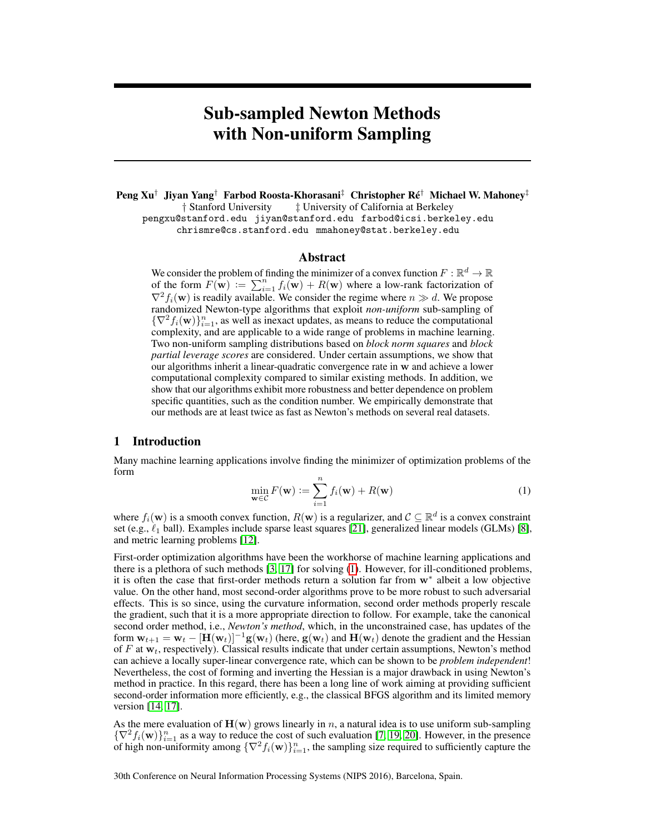# Sub-sampled Newton Methods with Non-uniform Sampling

Peng Xu<sup>†</sup> Jiyan Yang<sup>†</sup> Farbod Roosta-Khorasani<sup>‡</sup> Christopher Ré<sup>†</sup> Michael W. Mahoney<sup>‡</sup> † Stanford University  $\qquad$  ‡ University of California at Berkeley  $\dagger$  University of California at Berkeley pengxu@stanford.edu jiyan@stanford.edu farbod@icsi.berkeley.edu chrismre@cs.stanford.edu mmahoney@stat.berkeley.edu

## Abstract

We consider the problem of finding the minimizer of a convex function  $F : \mathbb{R}^d \to \mathbb{R}$ of the form  $F(\mathbf{w}) := \sum_{i=1}^n f_i(\mathbf{w}) + R(\mathbf{w})$  where a low-rank factorization of  $\nabla^2 f_i(\mathbf{w})$  is readily available. We consider the regime where  $n \gg d$ . We propose randomized Newton-type algorithms that exploit *non-uniform* sub-sampling of  ${\nabla^2 f_i(\mathbf{w})\}_{i=1}^n$ , as well as inexact updates, as means to reduce the computational complexity, and are applicable to a wide range of problems in machine learning. Two non-uniform sampling distributions based on *block norm squares* and *block partial leverage scores* are considered. Under certain assumptions, we show that our algorithms inherit a linear-quadratic convergence rate in w and achieve a lower computational complexity compared to similar existing methods. In addition, we show that our algorithms exhibit more robustness and better dependence on problem specific quantities, such as the condition number. We empirically demonstrate that our methods are at least twice as fast as Newton's methods on several real datasets.

## 1 Introduction

Many machine learning applications involve finding the minimizer of optimization problems of the form

$$
\min_{\mathbf{w}\in\mathcal{C}} F(\mathbf{w}) := \sum_{i=1}^{n} f_i(\mathbf{w}) + R(\mathbf{w})
$$
\n(1)

where  $f_i(\mathbf{w})$  is a smooth convex function,  $R(\mathbf{w})$  is a regularizer, and  $\mathcal{C} \subseteq \mathbb{R}^d$  is a convex constraint set (e.g.,  $\ell_1$  ball). Examples include sparse least squares [21], generalized linear models (GLMs) [8], and metric learning problems [12].

First-order optimization algorithms have been the workhorse of machine learning applications and there is a plethora of such methods [3, 17] for solving (1). However, for ill-conditioned problems, it is often the case that first-order methods return a solution far from w<sup>∗</sup> albeit a low objective value. On the other hand, most second-order algorithms prove to be more robust to such adversarial effects. This is so since, using the curvature information, second order methods properly rescale the gradient, such that it is a more appropriate direction to follow. For example, take the canonical second order method, i.e., *Newton's method*, which, in the unconstrained case, has updates of the form  $w_{t+1} = w_t - [H(w_t)]^{-1}g(w_t)$  (here,  $g(w_t)$  and  $H(w_t)$  denote the gradient and the Hessian of F at  $w_t$ , respectively). Classical results indicate that under certain assumptions, Newton's method can achieve a locally super-linear convergence rate, which can be shown to be *problem independent*! Nevertheless, the cost of forming and inverting the Hessian is a major drawback in using Newton's method in practice. In this regard, there has been a long line of work aiming at providing sufficient second-order information more efficiently, e.g., the classical BFGS algorithm and its limited memory version [14, 17].

As the mere evaluation of  $H(w)$  grows linearly in n, a natural idea is to use uniform sub-sampling  $\{\nabla^2 f_i(\mathbf{w})\}_{i=1}^n$  as a way to reduce the cost of such evaluation [7, 19, 20]. However, in the presence of high non-uniformity among  ${\nabla^2 f_i(\mathbf{w})\}_{i=1}^n$ , the sampling size required to sufficiently capture the

30th Conference on Neural Information Processing Systems (NIPS 2016), Barcelona, Spain.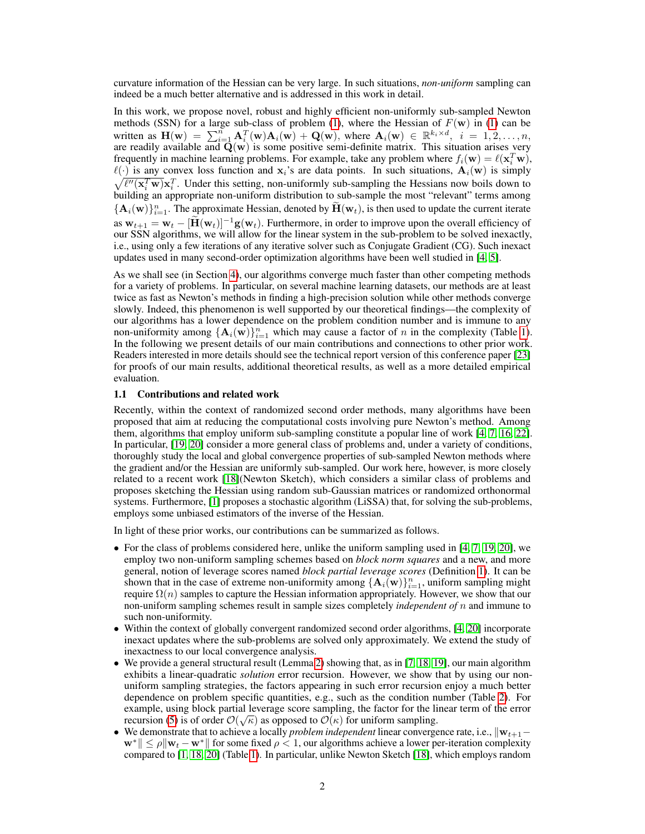curvature information of the Hessian can be very large. In such situations, *non-uniform* sampling can indeed be a much better alternative and is addressed in this work in detail.

In this work, we propose novel, robust and highly efficient non-uniformly sub-sampled Newton methods (SSN) for a large sub-class of problem (1), where the Hessian of  $F(w)$  in (1) can be written as  $\mathbf{H}(\mathbf{w}) = \sum_{i=1}^{n} \mathbf{A}_i^T(\mathbf{w}) \mathbf{A}_i(\mathbf{w}) + \mathbf{Q}(\mathbf{w})$ , where  $\mathbf{A}_i(\mathbf{w}) \in \mathbb{R}^{k_i \times d}$ ,  $i = 1, 2, ..., n$ , are readily available and  $Q(w)$  is some positive semi-definite matrix. This situation arises very frequently in machine learning problems. For example, take any problem where  $f_i(\mathbf{w}) = \ell(\mathbf{x}_i^T \mathbf{w})$ ,  $\ell(\cdot)$  is any convex loss function and  $x_i$ 's are data points. In such situations,  $A_i(w)$  is simply  $\sqrt{\ell''(\mathbf{x}_i^T \mathbf{w})} \mathbf{x}_i^T$ . Under this setting, non-uniformly sub-sampling the Hessians now boils down to building an appropriate non-uniform distribution to sub-sample the most "relevant" terms among  $\{\mathbf A_i(\mathbf w)\}_{i=1}^n$ . The approximate Hessian, denoted by  $\tilde{\mathbf H}(\mathbf w_t)$ , is then used to update the current iterate as  $w_{t+1} = w_t - [\mathbf{H}(w_t)]^{-1} \mathbf{g}(w_t)$ . Furthermore, in order to improve upon the overall efficiency of our SSN algorithms, we will allow for the linear system in the sub-problem to be solved inexactly, i.e., using only a few iterations of any iterative solver such as Conjugate Gradient (CG). Such inexact updates used in many second-order optimization algorithms have been well studied in [4, 5].

As we shall see (in Section 4), our algorithms converge much faster than other competing methods for a variety of problems. In particular, on several machine learning datasets, our methods are at least twice as fast as Newton's methods in finding a high-precision solution while other methods converge slowly. Indeed, this phenomenon is well supported by our theoretical findings—the complexity of our algorithms has a lower dependence on the problem condition number and is immune to any non-uniformity among  $\{A_i(w)\}_{i=1}^n$  which may cause a factor of n in the complexity (Table 1). In the following we present details of our main contributions and connections to other prior work. Readers interested in more details should see the technical report version of this conference paper [23] for proofs of our main results, additional theoretical results, as well as a more detailed empirical evaluation.

#### 1.1 Contributions and related work

Recently, within the context of randomized second order methods, many algorithms have been proposed that aim at reducing the computational costs involving pure Newton's method. Among them, algorithms that employ uniform sub-sampling constitute a popular line of work [4, 7, 16, 22]. In particular, [19, 20] consider a more general class of problems and, under a variety of conditions, thoroughly study the local and global convergence properties of sub-sampled Newton methods where the gradient and/or the Hessian are uniformly sub-sampled. Our work here, however, is more closely related to a recent work [18](Newton Sketch), which considers a similar class of problems and proposes sketching the Hessian using random sub-Gaussian matrices or randomized orthonormal systems. Furthermore, [1] proposes a stochastic algorithm (LiSSA) that, for solving the sub-problems, employs some unbiased estimators of the inverse of the Hessian.

In light of these prior works, our contributions can be summarized as follows.

- For the class of problems considered here, unlike the uniform sampling used in  $[4, 7, 19, 20]$ , we employ two non-uniform sampling schemes based on *block norm squares* and a new, and more general, notion of leverage scores named *block partial leverage scores* (Definition 1). It can be shown that in the case of extreme non-uniformity among  $\{A_i(w)\}_{i=1}^n$ , uniform sampling might require  $\Omega(n)$  samples to capture the Hessian information appropriately. However, we show that our non-uniform sampling schemes result in sample sizes completely *independent of* n and immune to such non-uniformity.
- Within the context of globally convergent randomized second order algorithms, [4, 20] incorporate inexact updates where the sub-problems are solved only approximately. We extend the study of inexactness to our local convergence analysis.
- We provide a general structural result (Lemma 2) showing that, as in [7, 18, 19], our main algorithm exhibits a linear-quadratic *solution* error recursion. However, we show that by using our nonuniform sampling strategies, the factors appearing in such error recursion enjoy a much better dependence on problem specific quantities, e.g., such as the condition number (Table 2). For example, using block partial leverage score sampling, the factor for the linear term of the error recursion (5) is of order  $\mathcal{O}(\sqrt{\kappa})$  as opposed to  $\mathcal{O}(\kappa)$  for uniform sampling.
- We demonstrate that to achieve a locally *problem independent* linear convergence rate, i.e.,  $\mathbf{w}_{t+1}$ −  $\mathbf{w}^* \| \leq \rho \|\mathbf{w}_t - \mathbf{w}^*\|$  for some fixed  $\rho < 1$ , our algorithms achieve a lower per-iteration complexity compared to [1, 18, 20] (Table 1). In particular, unlike Newton Sketch [18], which employs random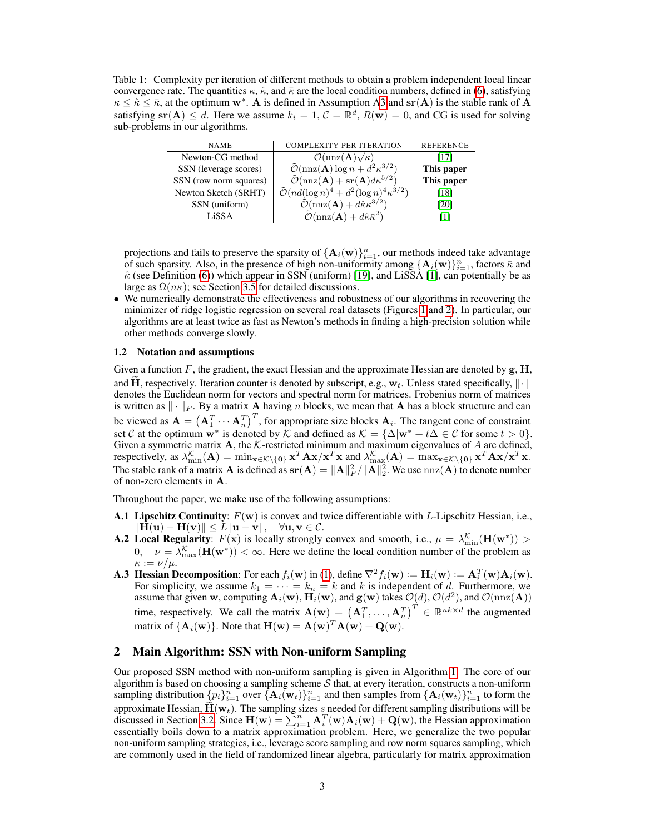Table 1: Complexity per iteration of different methods to obtain a problem independent local linear convergence rate. The quantities  $\kappa$ ,  $\hat{\kappa}$ , and  $\bar{\kappa}$  are the local condition numbers, defined in (6), satisfying  $\kappa \leq \hat{\kappa} \leq \bar{\kappa}$ , at the optimum w<sup>\*</sup>. A is defined in Assumption A3 and sr(A) is the stable rank of A satisfying  $\text{sr}(\mathbf{A}) \leq d$ . Here we assume  $k_i = 1$ ,  $C = \mathbb{R}^d$ ,  $R(\mathbf{w}) = 0$ , and CG is used for solving sub-problems in our algorithms.

| <b>NAME</b>            | <b>COMPLEXITY PER ITERATION</b>                                                      | <b>REFERENCE</b> |
|------------------------|--------------------------------------------------------------------------------------|------------------|
| Newton-CG method       | $\mathcal{O}(\text{nnz}(\mathbf{A})\sqrt{\kappa})$                                   | 1171             |
| SSN (leverage scores)  | $\tilde{\mathcal{O}}(\text{nnz}(\mathbf{A})\log n + d^2\kappa^{3/2})$                | This paper       |
| SSN (row norm squares) | $\tilde{\mathcal{O}}(\text{nnz}(\mathbf{A}) + \textbf{sr}(\mathbf{A})d\kappa^{5/2})$ | This paper       |
| Newton Sketch (SRHT)   | $\tilde{\mathcal{O}}(nd(\log n)^4 + d^2(\log n)^4 \kappa^{3/2})$                     | [18]             |
| SSN (uniform)          | $\tilde{\mathcal{O}}(\text{nnz}(\mathbf{A}) + d\hat{\kappa}\kappa^{3/2})$            | [20]             |
| LiSSA                  | $\tilde{\mathcal{O}}(\text{nnz}(\mathbf{A})+d\hat{\kappa}\bar{\kappa}^2)$            | Ш                |

projections and fails to preserve the sparsity of  $\{A_i(w)\}_{i=1}^n$ , our methods indeed take advantage of such sparsity. Also, in the presence of high non-uniformity among  $\{\mathbf{A}_i(\mathbf{w})\}_{i=1}^n$ , factors  $\bar{\kappa}$  and  $\hat{\kappa}$  (see Definition (6)) which appear in SSN (uniform) [19], and LiSSA [1], can potentially be as large as  $\Omega(n\kappa)$ ; see Section 3.5 for detailed discussions.

• We numerically demonstrate the effectiveness and robustness of our algorithms in recovering the minimizer of ridge logistic regression on several real datasets (Figures 1 and 2). In particular, our algorithms are at least twice as fast as Newton's methods in finding a high-precision solution while other methods converge slowly.

## 1.2 Notation and assumptions

Given a function  $F$ , the gradient, the exact Hessian and the approximate Hessian are denoted by  $g$ ,  $H$ , and H, respectively. Iteration counter is denoted by subscript, e.g.,  $w_t$ . Unless stated specifically,  $\|\cdot\|$ denotes the Euclidean norm for vectors and spectral norm for matrices. Frobenius norm of matrices is written as  $\|\cdot\|_F$ . By a matrix A having n blocks, we mean that A has a block structure and can be viewed as  $\mathbf{A} = (\mathbf{A}_1^T \cdots \mathbf{A}_n^T)^T$ , for appropriate size blocks  $\mathbf{A}_i$ . The tangent cone of constraint set C at the optimum  $w^*$  is denoted by K and defined as  $\mathcal{K} = {\Delta | w^* + t\Delta \in \mathcal{C}}$  for some  $t > 0$ . Given a symmetric matrix  $A$ , the K-restricted minimum and maximum eigenvalues of A are defined, respectively, as  $\lambda_{\min}^{\mathcal{K}}(\mathbf{A}) = \min_{\mathbf{x} \in \mathcal{K} \setminus \{\mathbf{0}\}} \mathbf{x}^T \mathbf{A} \mathbf{x} / \mathbf{x}^T \mathbf{x}$  and  $\lambda_{\max}^{\mathcal{K}}(\mathbf{A}) = \max_{\mathbf{x} \in \mathcal{K} \setminus \{\mathbf{0}\}} \mathbf{x}^T \mathbf{A} \mathbf{x} / \mathbf{x}^T \mathbf{x}$ . The stable rank of a matrix **A** is defined as  $sr(A) = ||A||_F^2/||A||_2^2$ . We use  $nnz(A)$  to denote number of non-zero elements in A.

Throughout the paper, we make use of the following assumptions:

- **A.1 Lipschitz Continuity**:  $F(\mathbf{w})$  is convex and twice differentiable with L-Lipschitz Hessian, i.e.,  $\|\mathbf{H}(\mathbf{u}) - \mathbf{H}(\mathbf{v})\| \le L\|\mathbf{u} - \mathbf{v}\|, \quad \forall \mathbf{u}, \mathbf{v} \in \mathcal{C}.$
- **A.2 Local Regularity**:  $F(\mathbf{x})$  is locally strongly convex and smooth, i.e.,  $\mu = \lambda_{\min}^{\mathcal{K}}(\mathbf{H}(\mathbf{w}^*)) >$  $0, \quad \nu = \lambda_{\max}^{\mathcal{K}}(\mathbf{H}(\mathbf{w}^*)) < \infty$ . Here we define the local condition number of the problem as  $\kappa := \nu/\mu$ .
- **A.3 Hessian Decomposition**: For each  $f_i(\mathbf{w})$  in (1), define  $\nabla^2 f_i(\mathbf{w}) := \mathbf{H}_i(\mathbf{w}) = \mathbf{A}_i^T(\mathbf{w})\mathbf{A}_i(\mathbf{w})$ . For simplicity, we assume  $k_1 = \cdots = k_n = k$  and k is independent of d. Furthermore, we assume  $k_1 = \cdots = k_n = k$  and k is independent of d. Furthermore, we assume that given w, computing  $\mathbf{A}_i(\mathbf{w})$ ,  $\mathbf{H}_i(\mathbf{w})$ , and  $\mathbf{g}(\mathbf{w})$  takes  $\mathcal{O}(d)$ ,  $\mathcal{O}(d^2)$ , and  $\mathcal{O}(\text{nnz}(\mathbf{A}))$ time, respectively. We call the matrix  $\mathbf{A}(\mathbf{w}) = (\mathbf{A}_1^T, \dots, \mathbf{A}_n^T)^T \in \mathbb{R}^{nk \times d}$  the augmented matrix of  ${ {\bf A}_i({\bf w}) }\}$ . Note that  ${\bf H}({\bf w})={\bf A}({\bf w})^T{\bf A}({\bf w})+{\bf Q}({\bf w}).$

## 2 Main Algorithm: SSN with Non-uniform Sampling

Our proposed SSN method with non-uniform sampling is given in Algorithm 1. The core of our algorithm is based on choosing a sampling scheme  $S$  that, at every iteration, constructs a non-uniform sampling distribution  $\{p_i\}_{i=1}^n$  over  $\{\mathbf{A}_i(\mathbf{w}_t)\}_{i=1}^n$  and then samples from  $\{\mathbf{A}_i(\mathbf{w}_t)\}_{i=1}^n$  to form the approximate Hessian,  $\mathbf{H}(\mathbf{w}_t)$ . The sampling sizes s needed for different sampling distributions will be discussed in Section 3.2. Since  $\mathbf{H}(\mathbf{w}) = \sum_{i=1}^n \mathbf{A}_i^T(\mathbf{w}) \mathbf{A}_i(\mathbf{w}) + \mathbf{Q}(\mathbf{w})$ , the Hessia essentially boils down to a matrix approximation problem. Here, we generalize the two popular non-uniform sampling strategies, i.e., leverage score sampling and row norm squares sampling, which are commonly used in the field of randomized linear algebra, particularly for matrix approximation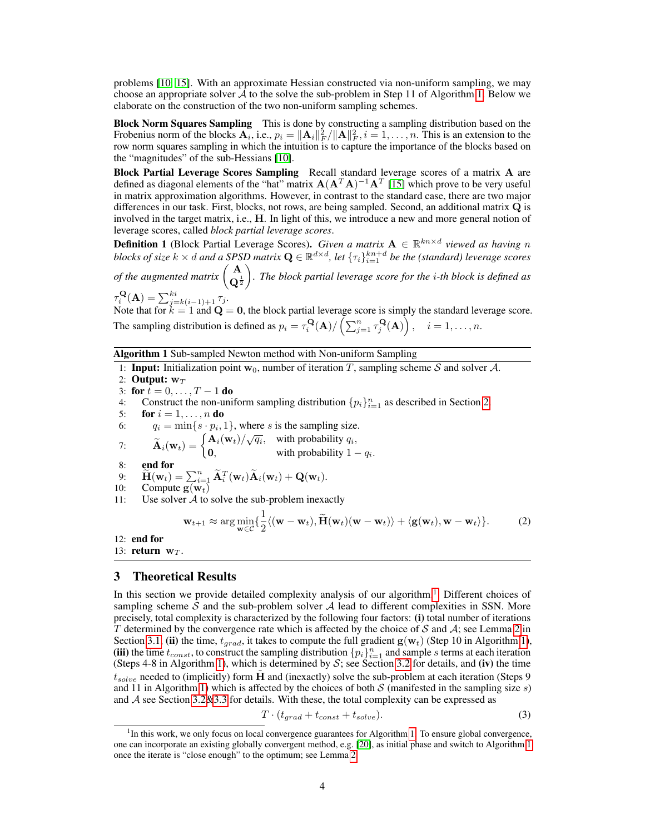problems [10, 15]. With an approximate Hessian constructed via non-uniform sampling, we may choose an appropriate solver  $\mathcal A$  to the solve the sub-problem in Step 11 of Algorithm 1. Below we elaborate on the construction of the two non-uniform sampling schemes.

**Block Norm Squares Sampling** This is done by constructing a sampling distribution based on the Frobenius norm of the blocks  $\mathbf{A}_i$ , i.e.,  $p_i = ||\mathbf{A}_i||_F^2/||\mathbf{A}||_F^2$ ,  $i = 1, ..., n$ . This is an extension to the row norm squares sampling in which the intuition is to capture the importance of the blocks based on the "magnitudes" of the sub-Hessians [10].

Block Partial Leverage Scores Sampling Recall standard leverage scores of a matrix A are defined as diagonal elements of the "hat" matrix  $A(A^T A)^{-1}A^T$  [15] which prove to be very useful in matrix approximation algorithms. However, in contrast to the standard case, there are two major differences in our task. First, blocks, not rows, are being sampled. Second, an additional matrix Q is involved in the target matrix, i.e., H. In light of this, we introduce a new and more general notion of leverage scores, called *block partial leverage scores*.

**Definition 1** (Block Partial Leverage Scores). *Given a matrix*  $A \in \mathbb{R}^{kn \times d}$  viewed as having n blocks of size  $k\times d$  and a SPSD matrix  $\mathbf{Q}\in\mathbb{R}^{d\times d}$ , let  $\{\tau_i\}_{i=1}^{kn+d}$  be the (standard) leverage scores *of the augmented matrix*  $\begin{pmatrix} A \\ C \end{pmatrix}$  $\mathbf{Q}^{\frac{1}{2}}$ *. The block partial leverage score for the* i*-th block is defined as*

 $\tau_i^{\mathbf{Q}}(\mathbf{A}) = \sum_{j=k(i-1)+1}^{ki} \tau_j$ . Note that for  $k = 1$  and  $\mathbf{Q} = \mathbf{0}$ , the block partial leverage score is simply the standard leverage score. The sampling distribution is defined as  $p_i = \tau_i^{\mathbf{Q}}(\mathbf{A}) / \left(\sum_{j=1}^n \tau_j^{\mathbf{Q}}(\mathbf{A})\right), \quad i = 1, \dots, n.$ 

Algorithm 1 Sub-sampled Newton method with Non-uniform Sampling

1: **Input:** Initialization point  $w_0$ , number of iteration T, sampling scheme S and solver A.

2: Output:  $w_T$ 

3: for  $t = 0, ..., T - 1$  do

4: Construct the non-uniform sampling distribution  $\{p_i\}_{i=1}^n$  as described in Section 2.

5: for  $i = 1, \ldots, n$  do

6:  $q_i = \min\{s \cdot p_i, 1\}$ , where s is the sampling size.

- 7:  $\widetilde{\mathbf{A}}_i(\mathbf{w}_t) = \begin{cases} \mathbf{A}_i(\mathbf{w}_t)/\sqrt{q_i}, & \text{with probability } q_i, \\ \mathbf{0}, & \text{with probability } 1 \end{cases}$ **0**, with probability  $1 - q_i$ .
- 8: end for

9: 
$$
\widetilde{\mathbf{H}}(\mathbf{w}_t) = \sum_{i=1}^n \widetilde{\mathbf{A}}_i^T(\mathbf{w}_t) \widetilde{\mathbf{A}}_i(\mathbf{w}_t) + \mathbf{Q}(\mathbf{w}_t).
$$
  
10: Compute  $\mathbf{g}(\mathbf{w}_t)$ 

11: Use solver  $\mathcal A$  to solve the sub-problem inexactly

$$
\mathbf{w}_{t+1} \approx \arg\min_{\mathbf{w}\in\mathcal{C}} \{ \frac{1}{2} \langle (\mathbf{w}-\mathbf{w}_t), \widetilde{\mathbf{H}}(\mathbf{w}_t)(\mathbf{w}-\mathbf{w}_t) \rangle + \langle \mathbf{g}(\mathbf{w}_t), \mathbf{w}-\mathbf{w}_t \rangle \}. \tag{2}
$$

12: end for

13: return  $w_T$ .

## 3 Theoretical Results

In this section we provide detailed complexity analysis of our algorithm.<sup>1</sup> Different choices of sampling scheme S and the sub-problem solver A lead to different complexities in SSN. More precisely, total complexity is characterized by the following four factors: (i) total number of iterations T determined by the convergence rate which is affected by the choice of S and A; see Lemma 2 in Section 3.1, (ii) the time,  $t_{grad}$ , it takes to compute the full gradient  $g(w_t)$  (Step 10 in Algorithm 1), (iii) the time  $t_{const}$ , to construct the sampling distribution  $\{p_i\}_{i=1}^n$  and sample s terms at each iteration (Steps 4-8 in Algorithm 1), which is determined by  $S$ ; see Section 3.2 for details, and (iv) the time  $t_{solve}$  needed to (implicitly) form  $\tilde{H}$  and (inexactly) solve the sub-problem at each iteration (Steps 9 and 11 in Algorithm 1) which is affected by the choices of both  $S$  (manifested in the sampling size  $s$ ) and  $A$  see Section 3.2&3.3 for details. With these, the total complexity can be expressed as

$$
T \cdot (t_{grad} + t_{const} + t_{solve}). \tag{3}
$$

<sup>&</sup>lt;sup>1</sup>In this work, we only focus on local convergence guarantees for Algorithm 1. To ensure global convergence, one can incorporate an existing globally convergent method, e.g. [20], as initial phase and switch to Algorithm 1 once the iterate is "close enough" to the optimum; see Lemma 2.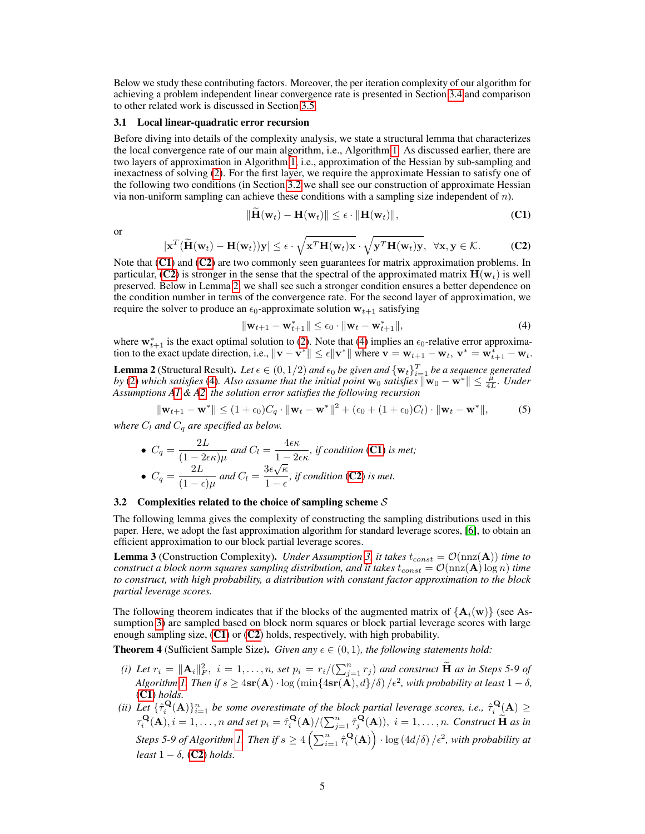Below we study these contributing factors. Moreover, the per iteration complexity of our algorithm for achieving a problem independent linear convergence rate is presented in Section 3.4 and comparison to other related work is discussed in Section 3.5.

#### 3.1 Local linear-quadratic error recursion

Before diving into details of the complexity analysis, we state a structural lemma that characterizes the local convergence rate of our main algorithm, i.e., Algorithm 1. As discussed earlier, there are two layers of approximation in Algorithm 1, i.e., approximation of the Hessian by sub-sampling and inexactness of solving (2). For the first layer, we require the approximate Hessian to satisfy one of the following two conditions (in Section 3.2 we shall see our construction of approximate Hessian via non-uniform sampling can achieve these conditions with a sampling size independent of  $n$ ).

$$
\|\mathbf{H}(\mathbf{w}_t) - \mathbf{H}(\mathbf{w}_t)\| \le \epsilon \cdot \|\mathbf{H}(\mathbf{w}_t)\|,
$$
 (C1)

or

$$
|\mathbf{x}^T(\widetilde{\mathbf{H}}(\mathbf{w}_t) - \mathbf{H}(\mathbf{w}_t))\mathbf{y}| \le \epsilon \cdot \sqrt{\mathbf{x}^T \mathbf{H}(\mathbf{w}_t)\mathbf{x}} \cdot \sqrt{\mathbf{y}^T \mathbf{H}(\mathbf{w}_t)\mathbf{y}}, \ \ \forall \mathbf{x}, \mathbf{y} \in \mathcal{K}.
$$
 (C2)

Note that  $(C1)$  and  $(C2)$  are two commonly seen guarantees for matrix approximation problems. In particular, (C2) is stronger in the sense that the spectral of the approximated matrix  $H(w_t)$  is well preserved. Below in Lemma 2, we shall see such a stronger condition ensures a better dependence on the condition number in terms of the convergence rate. For the second layer of approximation, we require the solver to produce an  $\epsilon_0$ -approximate solution  $w_{t+1}$  satisfying

$$
\|\mathbf{w}_{t+1} - \mathbf{w}_{t+1}^*\| \le \epsilon_0 \cdot \|\mathbf{w}_t - \mathbf{w}_{t+1}^*\|, \tag{4}
$$

where  $w_{t+1}^*$  is the exact optimal solution to (2). Note that (4) implies an  $\epsilon_0$ -relative error approximation to the exact update direction, i.e.,  $\|\mathbf{v} - \mathbf{v}^*\| \le \epsilon \|\mathbf{v}^*\|$  where  $\mathbf{v} = \mathbf{w}_{t+1} - \mathbf{w}_t$ ,  $\mathbf{v}^* = \mathbf{w}_{t+1}^* - \mathbf{w}_t$ .

**Lemma 2** (Structural Result). Let  $\epsilon \in (0,1/2)$  and  $\epsilon_0$  be given and  $\{w_t\}_{t=1}^T$  be a sequence generated *by* (2) *which satisfies* (4). Also assume that the initial point  $w_0$  satisfies  $\|\mathbf{w}_0 - \mathbf{w}^*\| \leq \frac{\mu}{4L}$ . Under *Assumptions A1 & A2, the solution error satisfies the following recursion*

$$
\|\mathbf{w}_{t+1} - \mathbf{w}^*\| \le (1 + \epsilon_0)C_q \cdot \|\mathbf{w}_t - \mathbf{w}^*\|^2 + (\epsilon_0 + (1 + \epsilon_0)C_l) \cdot \|\mathbf{w}_t - \mathbf{w}^*\|,
$$
 (5)

*where*  $C_l$  *and*  $C_q$  *are specified as below.* 

• 
$$
C_q = \frac{2L}{(1 - 2\epsilon\kappa)\mu}
$$
 and  $C_l = \frac{4\epsilon\kappa}{1 - 2\epsilon\kappa}$ , if condition **(C1)** is met;  
\n•  $C_q = \frac{2L}{(1 - \epsilon)\mu}$  and  $C_l = \frac{3\epsilon\sqrt{\kappa}}{1 - \epsilon}$ , if condition **(C2)** is met.

#### 3.2 Complexities related to the choice of sampling scheme  $S$

The following lemma gives the complexity of constructing the sampling distributions used in this paper. Here, we adopt the fast approximation algorithm for standard leverage scores, [6], to obtain an efficient approximation to our block partial leverage scores.

**Lemma 3** (Construction Complexity). *Under Assumption* 3, *it takes*  $t_{const} = \mathcal{O}(\text{nnz}(\mathbf{A}))$  *time to construct a block norm squares sampling distribution, and it takes*  $t_{const} = \mathcal{O}(\text{nnz}(\mathbf{A}) \log n)$  *time to construct, with high probability, a distribution with constant factor approximation to the block partial leverage scores.*

The following theorem indicates that if the blocks of the augmented matrix of  ${A_i(w)}$  (see Assumption 3) are sampled based on block norm squares or block partial leverage scores with large enough sampling size,  $(C1)$  or  $(C2)$  holds, respectively, with high probability.

**Theorem 4** (Sufficient Sample Size). *Given any*  $\epsilon \in (0,1)$ *, the following statements hold:* 

- *(i)* Let  $r_i = \|\mathbf{A}_i\|_F^2$ ,  $i = 1, \ldots, n$ , set  $p_i = r_i/(\sum_{j=1}^n r_j)$  and construct  $\widetilde{\mathbf{H}}$  as in Steps 5-9 of *Algorithm 1. Then if*  $s \geq 4$ s $\mathbf{r}(\mathbf{A}) \cdot \log \left( \min\{4s\mathbf{r}(\mathbf{A}),d\}/\delta \right) / \epsilon^2$ , with probability at least  $1 - \delta$ , (C1) *holds.*
- (ii) Let  $\{ \hat{\tau}_i^{\mathbf{Q}}(\mathbf{A}) \}_{i=1}^n$  be some overestimate of the block partial leverage scores, i.e.,  $\hat{\tau}_i^{\mathbf{Q}}(\mathbf{A}) \geq$  $\tau_i^{\mathbf{Q}}(\mathbf{A}), i = 1, \ldots, n$  and set  $p_i = \hat{\tau}_i^{\mathbf{Q}}(\mathbf{A})/(\sum_{j=1}^n \hat{\tau}_j^{\mathbf{Q}}(\mathbf{A})), i = 1, \ldots, n$ . Construct  $\widetilde{\mathbf{H}}$  as in *Steps 5-9 of Algorithm 1. Then if*  $s \geq 4\left(\sum_{i=1}^n \hat{\tau}_i^{\mathbf{Q}}(\mathbf{A})\right) \cdot \log\left(4d/\delta\right) / \epsilon^2$ , with probability at *least*  $1 - \delta$ , (**C2**) *holds.*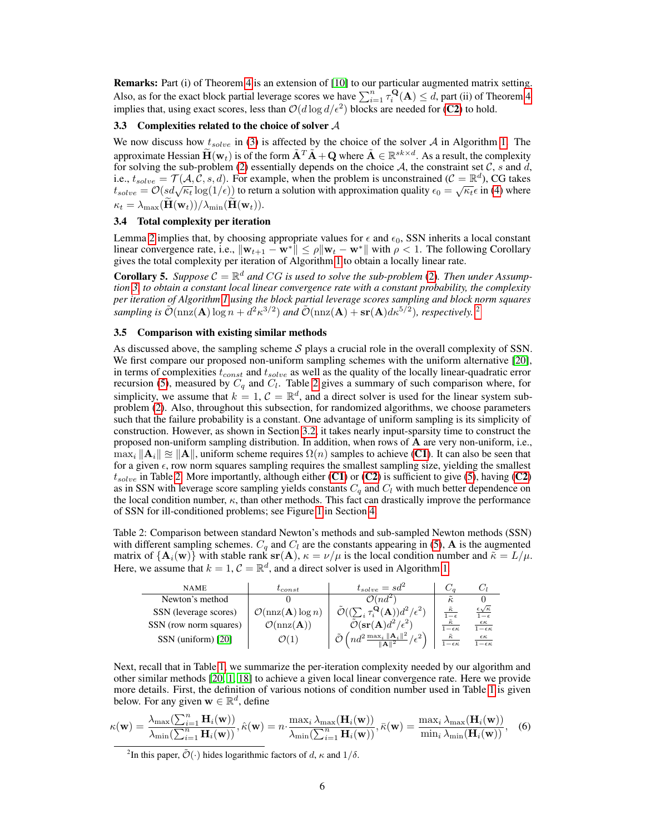Remarks: Part (i) of Theorem 4 is an extension of [10] to our particular augmented matrix setting. Also, as for the exact block partial leverage scores we have  $\sum_{i=1}^{n} \tau_i^{\mathbf{Q}}(A) \leq d$ , part (ii) of Theorem 4 implies that, using exact scores, less than  $\mathcal{O}(d \log d/\epsilon^2)$  blocks are needed for (C2) to hold.

#### 3.3 Complexities related to the choice of solver  $A$

We now discuss how  $t_{solve}$  in (3) is affected by the choice of the solver A in Algorithm 1. The approximate Hessian  $\widetilde{\mathbf{H}}(\mathbf{w}_t)$  is of the form  $\widetilde{\mathbf{A}}^T \widetilde{\mathbf{A}} + \mathbf{Q}$  where  $\widetilde{\mathbf{A}} \in \mathbb{R}^{sk \times d}$ . As a result, the complexity for solving the sub-problem (2) essentially depends on the choice A, the constraint set  $\mathcal{C}$ , s and  $\tilde{d}$ , i.e.,  $t_{solve} = \mathcal{T}(A, \mathcal{C}, s, d)$ . For example, when the problem is unconstrained  $(\mathcal{C} = \mathbb{R}^d)$ , CG takes t.e.,  $t_{solve} = f(A, C, s, a)$ . For example, when the problem is unconstrained ( $C = \mathbb{R}^n$ ), CG takes  $t_{solve} = \mathcal{O}(sd\sqrt{\kappa_t} \log(1/\epsilon))$  to return a solution with approximation quality  $\epsilon_0 = \sqrt{\kappa_t} \epsilon$  in (4) where  $\kappa_t = \lambda_{\text{max}}(\mathbf{H}(\mathbf{w}_t))/\lambda_{\text{min}}(\mathbf{H}(\mathbf{w}_t)).$ 

## 3.4 Total complexity per iteration

Lemma 2 implies that, by choosing appropriate values for  $\epsilon$  and  $\epsilon_0$ , SSN inherits a local constant linear convergence rate, i.e.,  $\|\mathbf{w}_{t+1} - \mathbf{w}^*\| \le \rho \|\mathbf{w}_t - \mathbf{w}^*\|$  with  $\rho < 1$ . The following Corollary gives the total complexity per iteration of Algorithm 1 to obtain a locally linear rate.

**Corollary 5.** Suppose  $C = \mathbb{R}^d$  and CG is used to solve the sub-problem (2). Then under Assump*tion 3, to obtain a constant local linear convergence rate with a constant probability, the complexity per iteration of Algorithm 1 using the block partial leverage scores sampling and block norm squares sampling is*  $\tilde{\mathcal{O}}(\text{nnz}(\mathbf{A}) \log n + d^2 \kappa^{3/2})$  and  $\tilde{\mathcal{O}}(\text{nnz}(\mathbf{A}) + \textbf{sr}(\mathbf{A})d\kappa^{5/2})$ , respectively. <sup>2</sup>

## 3.5 Comparison with existing similar methods

As discussed above, the sampling scheme  $S$  plays a crucial role in the overall complexity of SSN. We first compare our proposed non-uniform sampling schemes with the uniform alternative [20], in terms of complexities  $t_{const}$  and  $t_{solve}$  as well as the quality of the locally linear-quadratic error recursion (5), measured by  $C_q$  and  $C_l$ . Table 2 gives a summary of such comparison where, for simplicity, we assume that  $k = 1, \mathcal{C} = \mathbb{R}^d$ , and a direct solver is used for the linear system subproblem (2). Also, throughout this subsection, for randomized algorithms, we choose parameters such that the failure probability is a constant. One advantage of uniform sampling is its simplicity of construction. However, as shown in Section 3.2, it takes nearly input-sparsity time to construct the proposed non-uniform sampling distribution. In addition, when rows of A are very non-uniform, i.e.,  $\max_i ||A_i|| \approx ||A||$ , uniform scheme requires  $\Omega(n)$  samples to achieve (C1). It can also be seen that for a given  $\epsilon$ , row norm squares sampling requires the smallest sampling size, yielding the smallest  $t_{solve}$  in Table 2. More importantly, although either (C1) or (C2) is sufficient to give (5), having (C2) as in SSN with leverage score sampling yields constants  $C_q$  and  $C_l$  with much better dependence on the local condition number,  $\kappa$ , than other methods. This fact can drastically improve the performance of SSN for ill-conditioned problems; see Figure 1 in Section 4.

Table 2: Comparison between standard Newton's methods and sub-sampled Newton methods (SSN) with different sampling schemes.  $C_q$  and  $C_l$  are the constants appearing in (5), **A** is the augmented matrix of  $\{A_i(w)\}\$  with stable rank  $sr(A)$ ,  $\kappa = \nu/\mu$  is the local condition number and  $\tilde{\kappa} = L/\mu$ . Here, we assume that  $k = 1$ ,  $C = \mathbb{R}^d$ , and a direct solver is used in Algorithm 1.

| <b>NAME</b>            | $t$ <sub>const</sub>                         | $t_{solve} = sd^2$                                             |                       |                                         |
|------------------------|----------------------------------------------|----------------------------------------------------------------|-----------------------|-----------------------------------------|
| Newton's method        |                                              | $\mathcal{O}(nd^2)$                                            | $\kappa$              |                                         |
| SSN (leverage scores)  | $\mathcal{O}(\text{nnz}(\mathbf{A}) \log n)$ | $\cdot \frac{\mathbf{Q}}{\epsilon}(\mathbf{A}))d^2/\epsilon^2$ | $\bar{\kappa}$        | $\epsilon\sqrt{\kappa}$<br>$1-\epsilon$ |
| SSN (row norm squares) | $\mathcal{O}(\text{nnz}(\mathbf{A}))$        | $\mathcal{O}(\operatorname{sr}(\mathbf{A})d^2/\epsilon^2)$     | $1 - \epsilon \kappa$ | $1 - \epsilon \kappa$                   |
| SSN (uniform) [20]     |                                              | $n d^2 \frac{\max_i \ A_i\ ^2}{n \ln n}$                       | $1-\epsilon \kappa$   | $-\epsilon \kappa$                      |

Next, recall that in Table 1, we summarize the per-iteration complexity needed by our algorithm and other similar methods [20, 1, 18] to achieve a given local linear convergence rate. Here we provide more details. First, the definition of various notions of condition number used in Table 1 is given below. For any given  $\mathbf{w} \in \mathbb{R}^d$ , define

$$
\kappa(\mathbf{w}) = \frac{\lambda_{\max}(\sum_{i=1}^{n} \mathbf{H}_{i}(\mathbf{w}))}{\lambda_{\min}(\sum_{i=1}^{n} \mathbf{H}_{i}(\mathbf{w}))}, \hat{\kappa}(\mathbf{w}) = n \cdot \frac{\max_{i} \lambda_{\max}(\mathbf{H}_{i}(\mathbf{w}))}{\lambda_{\min}(\sum_{i=1}^{n} \mathbf{H}_{i}(\mathbf{w}))}, \bar{\kappa}(\mathbf{w}) = \frac{\max_{i} \lambda_{\max}(\mathbf{H}_{i}(\mathbf{w}))}{\min_{i} \lambda_{\min}(\mathbf{H}_{i}(\mathbf{w}))},
$$
(6)

<sup>2</sup>In this paper,  $\tilde{\mathcal{O}}(\cdot)$  hides logarithmic factors of d,  $\kappa$  and  $1/\delta$ .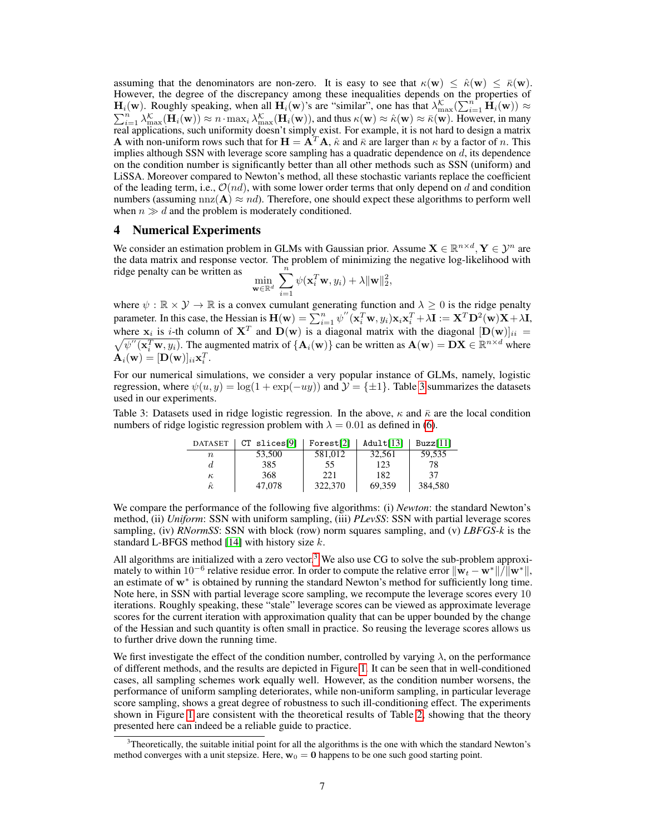assuming that the denominators are non-zero. It is easy to see that  $\kappa(\mathbf{w}) \leq \hat{\kappa}(\mathbf{w}) \leq \bar{\kappa}(\mathbf{w})$ . However, the degree of the discrepancy among these inequalities depends on the properties of  $H_i(w)$ . Roughly speaking, when all  $H_i(w)$ 's are "similar", one has that  $\lambda_{\max}^{\mathcal{K}}(\sum_{i=1}^{n} H_i(w)) \approx$  $\sum_{i=1}^{n} \lambda_{\max}^{\mathcal{K}}(\mathbf{H}_i(\mathbf{w})) \approx n \cdot \max_i \lambda_{\max}^{\mathcal{K}}(\mathbf{H}_i(\mathbf{w}))$ , and thus  $\kappa(\mathbf{w}) \approx \hat{\kappa}(\mathbf{w}) \approx \overline{\kappa}(\mathbf{w})$ . However, in many real applications, such uniformity doesn't simply exist. For example, it is not hard to design a matrix **A** with non-uniform rows such that for  $\mathbf{H} = \mathbf{A}^T \mathbf{A}$ ,  $\hat{\kappa}$  and  $\bar{\kappa}$  are larger than  $\kappa$  by a factor of n. This implies although SSN with leverage score sampling has a quadratic dependence on  $d$ , its dependence on the condition number is significantly better than all other methods such as SSN (uniform) and LiSSA. Moreover compared to Newton's method, all these stochastic variants replace the coefficient of the leading term, i.e.,  $\mathcal{O}(nd)$ , with some lower order terms that only depend on d and condition numbers (assuming  $nnz(A) \approx nd$ ). Therefore, one should expect these algorithms to perform well when  $n \gg d$  and the problem is moderately conditioned.

## 4 Numerical Experiments

We consider an estimation problem in GLMs with Gaussian prior. Assume  $X \in \mathbb{R}^{n \times d}$ ,  $Y \in \mathcal{Y}^n$  are the data matrix and response vector. The problem of minimizing the negative log-likelihood with ridge penalty can be written as  $\sum_{n=1}^{\infty}$ ,

$$
\min_{\mathbf{w}\in\mathbb{R}^d} \sum_{i=1} \psi(\mathbf{x}_i^T\mathbf{w}, y_i) + \lambda \|\mathbf{w}\|_2^2
$$

where  $\psi : \mathbb{R} \times \mathcal{Y} \to \mathbb{R}$  is a convex cumulant generating function and  $\lambda \geq 0$  is the ridge penalty parameter. In this case, the Hessian is  $\mathbf{H}(\mathbf{w}) = \sum_{i=1}^{n} \psi''(\mathbf{x}_i^T \mathbf{w}, y_i) \mathbf{x}_i \mathbf{x}_i^T + \lambda \mathbf{I} := \mathbf{X}^T \mathbf{D}^2(\mathbf{w}) \mathbf{X} + \lambda \mathbf{I}$ , where  $x_i$  is *i*-th column of  $X^T$  and  $D(w)$  is a diagonal matrix with the diagonal  $[D(w)]_{ii}$  =  $\sqrt{\psi''(\mathbf{x}_i^T \mathbf{w}, y_i)}$ . The augmented matrix of  $\{\mathbf{A}_i(\mathbf{w})\}$  can be written as  $\mathbf{A}(\mathbf{w}) = \mathbf{D}\mathbf{X} \in \mathbb{R}^{n \times d}$  where  $\mathbf{A}_i(\mathbf{w}) = [\mathbf{D}(\mathbf{w})]_{ii} \mathbf{x}_i^T.$ 

For our numerical simulations, we consider a very popular instance of GLMs, namely, logistic regression, where  $\psi(u, y) = \log(1 + \exp(-uy))$  and  $\mathcal{Y} = \{\pm 1\}$ . Table 3 summarizes the datasets used in our experiments.

Table 3: Datasets used in ridge logistic regression. In the above,  $\kappa$  and  $\bar{\kappa}$  are the local condition numbers of ridge logistic regression problem with  $\lambda = 0.01$  as defined in (6).

| <b>DATASET</b> | $CT$ slices [9] | Forest[2] | Adult[13] | Buzz[11] |
|----------------|-----------------|-----------|-----------|----------|
| $n_{\rm}$      | 53,500          | 581,012   | 32,561    | 59.535   |
| d.             | 385             | 55        | 123       | 78       |
| $\kappa$       | 368             | 221       | 182       | 37       |
| $\hat{\kappa}$ | 47,078          | 322,370   | 69.359    | 384.580  |

We compare the performance of the following five algorithms: (i) *Newton*: the standard Newton's method, (ii) *Uniform*: SSN with uniform sampling, (iii) *PLevSS*: SSN with partial leverage scores sampling, (iv) *RNormSS*: SSN with block (row) norm squares sampling, and (v) *LBFGS-k* is the standard L-BFGS method [14] with history size  $k$ .

All algorithms are initialized with a zero vector.<sup>3</sup> We also use CG to solve the sub-problem approximately to within 10<sup>-6</sup> relative residue error. In order to compute the relative error  $\|\mathbf{w}_t - \mathbf{w}^*\|/\|\mathbf{w}^*\|$ , an estimate of w<sup>∗</sup> is obtained by running the standard Newton's method for sufficiently long time. Note here, in SSN with partial leverage score sampling, we recompute the leverage scores every 10 iterations. Roughly speaking, these "stale" leverage scores can be viewed as approximate leverage scores for the current iteration with approximation quality that can be upper bounded by the change of the Hessian and such quantity is often small in practice. So reusing the leverage scores allows us to further drive down the running time.

We first investigate the effect of the condition number, controlled by varying  $\lambda$ , on the performance of different methods, and the results are depicted in Figure 1. It can be seen that in well-conditioned cases, all sampling schemes work equally well. However, as the condition number worsens, the performance of uniform sampling deteriorates, while non-uniform sampling, in particular leverage score sampling, shows a great degree of robustness to such ill-conditioning effect. The experiments shown in Figure 1 are consistent with the theoretical results of Table 2, showing that the theory presented here can indeed be a reliable guide to practice.

 $3$ Theoretically, the suitable initial point for all the algorithms is the one with which the standard Newton's method converges with a unit stepsize. Here,  $w_0 = 0$  happens to be one such good starting point.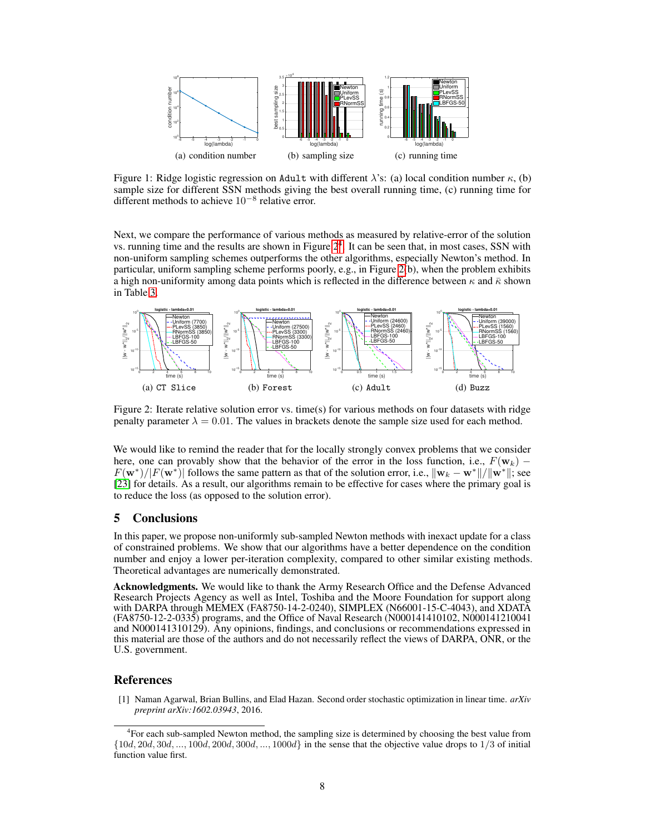

Figure 1: Ridge logistic regression on Adult with different  $\lambda$ 's: (a) local condition number  $\kappa$ , (b) sample size for different SSN methods giving the best overall running time, (c) running time for different methods to achieve  $10^{-8}$  relative error.

Next, we compare the performance of various methods as measured by relative-error of the solution vs. running time and the results are shown in Figure  $2<sup>4</sup>$ . It can be seen that, in most cases, SSN with non-uniform sampling schemes outperforms the other algorithms, especially Newton's method. In particular, uniform sampling scheme performs poorly, e.g., in Figure 2(b), when the problem exhibits a high non-uniformity among data points which is reflected in the difference between  $\kappa$  and  $\bar{\kappa}$  shown in Table 3.



Figure 2: Iterate relative solution error vs. time(s) for various methods on four datasets with ridge penalty parameter  $\lambda = 0.01$ . The values in brackets denote the sample size used for each method.

We would like to remind the reader that for the locally strongly convex problems that we consider here, one can provably show that the behavior of the error in the loss function, i.e.,  $F(\mathbf{w}_k)$  –  $F(\mathbf{w}^*)/|F(\mathbf{w}^*)|$  follows the same pattern as that of the solution error, i.e.,  $\|\mathbf{w}_k - \mathbf{w}^*\|/\|\mathbf{w}^*\|$ ; see [23] for details. As a result, our algorithms remain to be effective for cases where the primary goal is to reduce the loss (as opposed to the solution error).

## 5 Conclusions

In this paper, we propose non-uniformly sub-sampled Newton methods with inexact update for a class of constrained problems. We show that our algorithms have a better dependence on the condition number and enjoy a lower per-iteration complexity, compared to other similar existing methods. Theoretical advantages are numerically demonstrated.

Acknowledgments. We would like to thank the Army Research Office and the Defense Advanced Research Projects Agency as well as Intel, Toshiba and the Moore Foundation for support along with DARPA through MEMEX (FA8750-14-2-0240), SIMPLEX (N66001-15-C-4043), and XDATA (FA8750-12-2-0335) programs, and the Office of Naval Research (N000141410102, N000141210041 and N000141310129). Any opinions, findings, and conclusions or recommendations expressed in this material are those of the authors and do not necessarily reflect the views of DARPA, ONR, or the U.S. government.

## **References**

[1] Naman Agarwal, Brian Bullins, and Elad Hazan. Second order stochastic optimization in linear time. *arXiv preprint arXiv:1602.03943*, 2016.

<sup>4</sup> For each sub-sampled Newton method, the sampling size is determined by choosing the best value from  $\{10d, 20d, 30d, \ldots, 100d, 200d, 300d, \ldots, 1000d\}$  in the sense that the objective value drops to 1/3 of initial function value first.